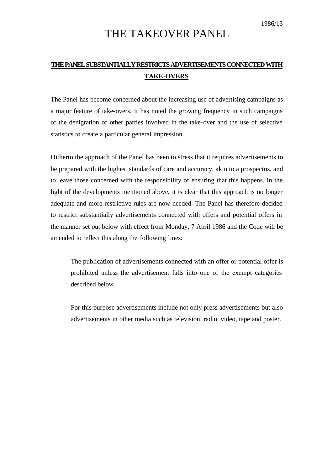## THE TAKEOVER PANEL

## **THE PANEL SUBSTANTIALLY RESTRICTS ADVERTISEMENTS CONNECTED WITH TAKE-OVERS**

The Panel has become concerned about the increasing use of advertising campaigns as a major feature of take-overs. It has noted the growing frequency in such campaigns of the denigration of other parties involved in the take-over and the use of selective statistics to create a particular general impression.

Hitherto the approach of the Panel has been to stress that it requires advertisements to be prepared with the highest standards of care and accuracy, akin to a prospectus, and to leave those concerned with the responsibility of ensuring that this happens. In the light of the developments mentioned above, it is clear that this approach is no longer adequate and more restrictive rules are now needed. The Panel has therefore decided to restrict substantially advertisements connected with offers and potential offers in the manner set out below with effect from Monday, 7 April 1986 and the Code will be amended to reflect this along the following lines:

The publication of advertisements connected with an offer or potential offer is prohibited unless the advertisement falls into one of the exempt categories described below.

For this purpose advertisements include not only press advertisements but also advertisements in other media such as television, radio, video, tape and poster.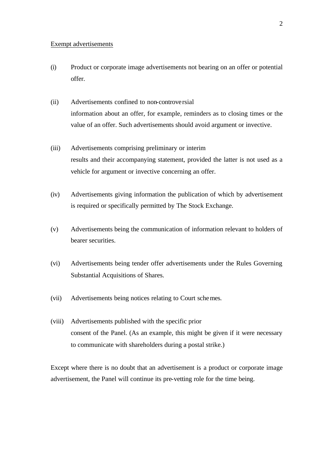## Exempt advertisements

- (i) Product or corporate image advertisements not bearing on an offer or potential offer.
- (ii) Advertisements confined to non-controversial information about an offer, for example, reminders as to closing times or the value of an offer. Such advertisements should avoid argument or invective.
- (iii) Advertisements comprising preliminary or interim results and their accompanying statement, provided the latter is not used as a vehicle for argument or invective concerning an offer.
- (iv) Advertisements giving information the publication of which by advertisement is required or specifically permitted by The Stock Exchange.
- (v) Advertisements being the communication of information relevant to holders of bearer securities.
- (vi) Advertisements being tender offer advertisements under the Rules Governing Substantial Acquisitions of Shares.
- (vii) Advertisements being notices relating to Court schemes.
- (viii) Advertisements published with the specific prior consent of the Panel. (As an example, this might be given if it were necessary to communicate with shareholders during a postal strike.)

Except where there is no doubt that an advertisement is a product or corporate image advertisement, the Panel will continue its pre-vetting role for the time being.